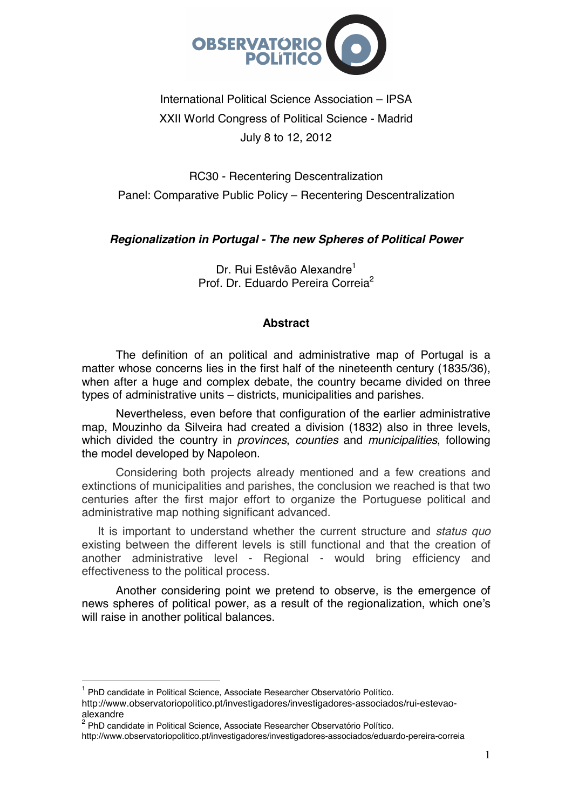

# International Political Science Association – IPSA XXII World Congress of Political Science - Madrid July 8 to 12, 2012

RC30 - Recentering Descentralization Panel: Comparative Public Policy – Recentering Descentralization

# *Regionalization in Portugal - The new Spheres of Political Power*

Dr. Rui Estêvão Alexandre<sup>1</sup> Prof. Dr. Eduardo Pereira Correia<sup>2</sup>

## **Abstract**

The definition of an political and administrative map of Portugal is a matter whose concerns lies in the first half of the nineteenth century (1835/36), when after a huge and complex debate, the country became divided on three types of administrative units – districts, municipalities and parishes.

Nevertheless, even before that configuration of the earlier administrative map, Mouzinho da Silveira had created a division (1832) also in three levels, which divided the country in *provinces*, *counties* and *municipalities*, following the model developed by Napoleon.

Considering both projects already mentioned and a few creations and extinctions of municipalities and parishes, the conclusion we reached is that two centuries after the first major effort to organize the Portuguese political and administrative map nothing significant advanced.

It is important to understand whether the current structure and *status quo* existing between the different levels is still functional and that the creation of another administrative level - Regional - would bring efficiency and effectiveness to the political process.

 Another considering point we pretend to observe, is the emergence of news spheres of political power, as a result of the regionalization, which one's will raise in another political balances.

 $\overline{a}$ 

<sup>1</sup> PhD candidate in Political Science, Associate Researcher Observatório Político.

http://www.observatoriopolitico.pt/investigadores/investigadores-associados/rui-estevaoalexandre

<sup>&</sup>lt;sup>2</sup> PhD candidate in Political Science, Associate Researcher Observatório Político.

http://www.observatoriopolitico.pt/investigadores/investigadores-associados/eduardo-pereira-correia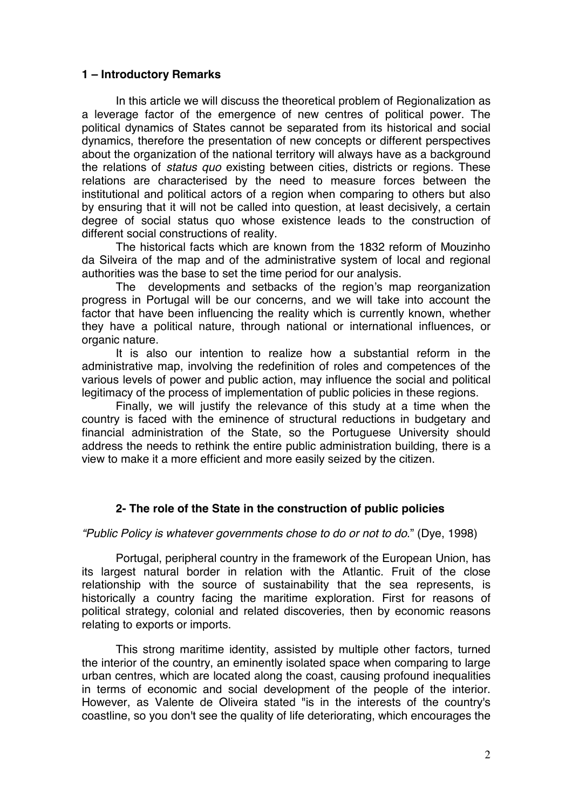### **1 – Introductory Remarks**

In this article we will discuss the theoretical problem of Regionalization as a leverage factor of the emergence of new centres of political power. The political dynamics of States cannot be separated from its historical and social dynamics, therefore the presentation of new concepts or different perspectives about the organization of the national territory will always have as a background the relations of *status quo* existing between cities, districts or regions. These relations are characterised by the need to measure forces between the institutional and political actors of a region when comparing to others but also by ensuring that it will not be called into question, at least decisively, a certain degree of social status quo whose existence leads to the construction of different social constructions of reality.

The historical facts which are known from the 1832 reform of Mouzinho da Silveira of the map and of the administrative system of local and regional authorities was the base to set the time period for our analysis.

The developments and setbacks of the region's map reorganization progress in Portugal will be our concerns, and we will take into account the factor that have been influencing the reality which is currently known, whether they have a political nature, through national or international influences, or organic nature.

It is also our intention to realize how a substantial reform in the administrative map, involving the redefinition of roles and competences of the various levels of power and public action, may influence the social and political legitimacy of the process of implementation of public policies in these regions.

Finally, we will justify the relevance of this study at a time when the country is faced with the eminence of structural reductions in budgetary and financial administration of the State, so the Portuguese University should address the needs to rethink the entire public administration building, there is a view to make it a more efficient and more easily seized by the citizen.

## **2- The role of the State in the construction of public policies**

#### *"Public Policy is whatever governments chose to do or not to do*." (Dye, 1998)

Portugal, peripheral country in the framework of the European Union, has its largest natural border in relation with the Atlantic. Fruit of the close relationship with the source of sustainability that the sea represents, is historically a country facing the maritime exploration. First for reasons of political strategy, colonial and related discoveries, then by economic reasons relating to exports or imports.

This strong maritime identity, assisted by multiple other factors, turned the interior of the country, an eminently isolated space when comparing to large urban centres, which are located along the coast, causing profound inequalities in terms of economic and social development of the people of the interior. However, as Valente de Oliveira stated "is in the interests of the country's coastline, so you don't see the quality of life deteriorating, which encourages the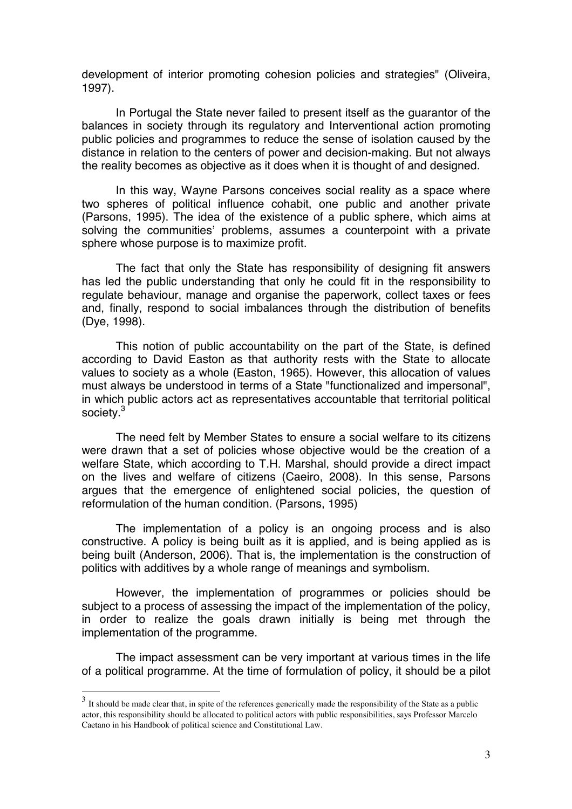development of interior promoting cohesion policies and strategies" (Oliveira, 1997).

In Portugal the State never failed to present itself as the guarantor of the balances in society through its regulatory and Interventional action promoting public policies and programmes to reduce the sense of isolation caused by the distance in relation to the centers of power and decision-making. But not always the reality becomes as objective as it does when it is thought of and designed.

In this way, Wayne Parsons conceives social reality as a space where two spheres of political influence cohabit, one public and another private (Parsons, 1995). The idea of the existence of a public sphere, which aims at solving the communities' problems, assumes a counterpoint with a private sphere whose purpose is to maximize profit.

The fact that only the State has responsibility of designing fit answers has led the public understanding that only he could fit in the responsibility to regulate behaviour, manage and organise the paperwork, collect taxes or fees and, finally, respond to social imbalances through the distribution of benefits (Dye, 1998).

This notion of public accountability on the part of the State, is defined according to David Easton as that authority rests with the State to allocate values to society as a whole (Easton, 1965). However, this allocation of values must always be understood in terms of a State "functionalized and impersonal", in which public actors act as representatives accountable that territorial political society.<sup>3</sup>

The need felt by Member States to ensure a social welfare to its citizens were drawn that a set of policies whose objective would be the creation of a welfare State, which according to T.H. Marshal, should provide a direct impact on the lives and welfare of citizens (Caeiro, 2008). In this sense, Parsons argues that the emergence of enlightened social policies, the question of reformulation of the human condition. (Parsons, 1995)

The implementation of a policy is an ongoing process and is also constructive. A policy is being built as it is applied, and is being applied as is being built (Anderson, 2006). That is, the implementation is the construction of politics with additives by a whole range of meanings and symbolism.

However, the implementation of programmes or policies should be subject to a process of assessing the impact of the implementation of the policy, in order to realize the goals drawn initially is being met through the implementation of the programme.

The impact assessment can be very important at various times in the life of a political programme. At the time of formulation of policy, it should be a pilot

 $\overline{\phantom{a}}$ 

 $3<sup>3</sup>$  It should be made clear that, in spite of the references generically made the responsibility of the State as a public actor, this responsibility should be allocated to political actors with public responsibilities, says Professor Marcelo Caetano in his Handbook of political science and Constitutional Law.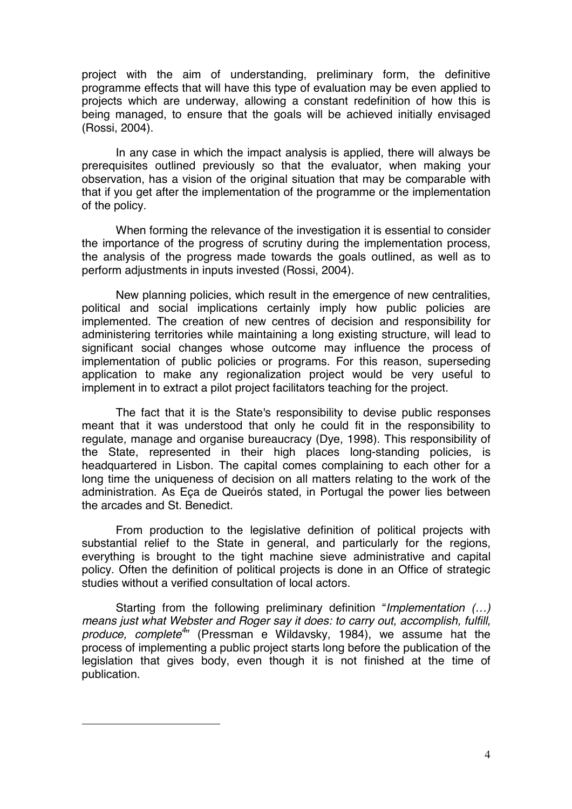project with the aim of understanding, preliminary form, the definitive programme effects that will have this type of evaluation may be even applied to projects which are underway, allowing a constant redefinition of how this is being managed, to ensure that the goals will be achieved initially envisaged (Rossi, 2004).

In any case in which the impact analysis is applied, there will always be prerequisites outlined previously so that the evaluator, when making your observation, has a vision of the original situation that may be comparable with that if you get after the implementation of the programme or the implementation of the policy.

When forming the relevance of the investigation it is essential to consider the importance of the progress of scrutiny during the implementation process, the analysis of the progress made towards the goals outlined, as well as to perform adjustments in inputs invested (Rossi, 2004).

New planning policies, which result in the emergence of new centralities, political and social implications certainly imply how public policies are implemented. The creation of new centres of decision and responsibility for administering territories while maintaining a long existing structure, will lead to significant social changes whose outcome may influence the process of implementation of public policies or programs. For this reason, superseding application to make any regionalization project would be very useful to implement in to extract a pilot project facilitators teaching for the project.

The fact that it is the State's responsibility to devise public responses meant that it was understood that only he could fit in the responsibility to regulate, manage and organise bureaucracy (Dye, 1998). This responsibility of the State, represented in their high places long-standing policies, is headquartered in Lisbon. The capital comes complaining to each other for a long time the uniqueness of decision on all matters relating to the work of the administration. As Eça de Queirós stated, in Portugal the power lies between the arcades and St. Benedict.

From production to the legislative definition of political projects with substantial relief to the State in general, and particularly for the regions, everything is brought to the tight machine sieve administrative and capital policy. Often the definition of political projects is done in an Office of strategic studies without a verified consultation of local actors.

Starting from the following preliminary definition "*Implementation (…) means just what Webster and Roger say it does: to carry out, accomplish, fulfill, produce, complete4* " (Pressman e Wildavsky, 1984), we assume hat the process of implementing a public project starts long before the publication of the legislation that gives body, even though it is not finished at the time of publication.

 $\overline{a}$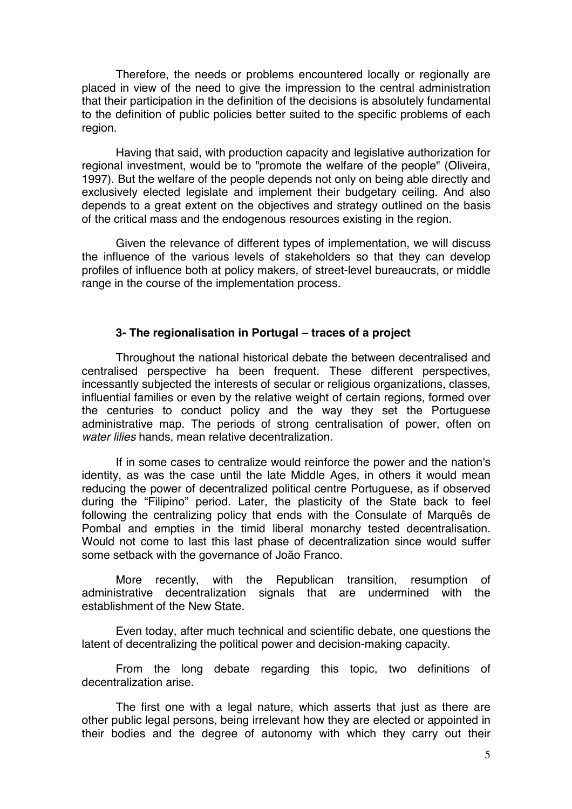Therefore, the needs or problems encountered locally or regionally are placed in view of the need to give the impression to the central administration that their participation in the definition of the decisions is absolutely fundamental to the definition of public policies better suited to the specific problems of each region.

Having that said, with production capacity and legislative authorization for regional investment, would be to "promote the welfare of the people" (Oliveira, 1997). But the welfare of the people depends not only on being able directly and exclusively elected legislate and implement their budgetary ceiling. And also depends to a great extent on the objectives and strategy outlined on the basis of the critical mass and the endogenous resources existing in the region.

Given the relevance of different types of implementation, we will discuss the influence of the various levels of stakeholders so that they can develop profiles of influence both at policy makers, of street-level bureaucrats, or middle range in the course of the implementation process.

## **3- The regionalisation in Portugal – traces of a project**

Throughout the national historical debate the between decentralised and centralised perspective ha been frequent. These different perspectives, incessantly subjected the interests of secular or religious organizations, classes, influential families or even by the relative weight of certain regions, formed over the centuries to conduct policy and the way they set the Portuguese administrative map. The periods of strong centralisation of power, often on *water lilies* hands, mean relative decentralization.

If in some cases to centralize would reinforce the power and the nation's identity, as was the case until the late Middle Ages, in others it would mean reducing the power of decentralized political centre Portuguese, as if observed during the "Filipino" period. Later, the plasticity of the State back to feel following the centralizing policy that ends with the Consulate of Marquês de Pombal and empties in the timid liberal monarchy tested decentralisation. Would not come to last this last phase of decentralization since would suffer some setback with the governance of João Franco.

More recently, with the Republican transition, resumption of administrative decentralization signals that are undermined with the establishment of the New State

Even today, after much technical and scientific debate, one questions the latent of decentralizing the political power and decision-making capacity.

From the long debate regarding this topic, two definitions of decentralization arise.

The first one with a legal nature, which asserts that just as there are other public legal persons, being irrelevant how they are elected or appointed in their bodies and the degree of autonomy with which they carry out their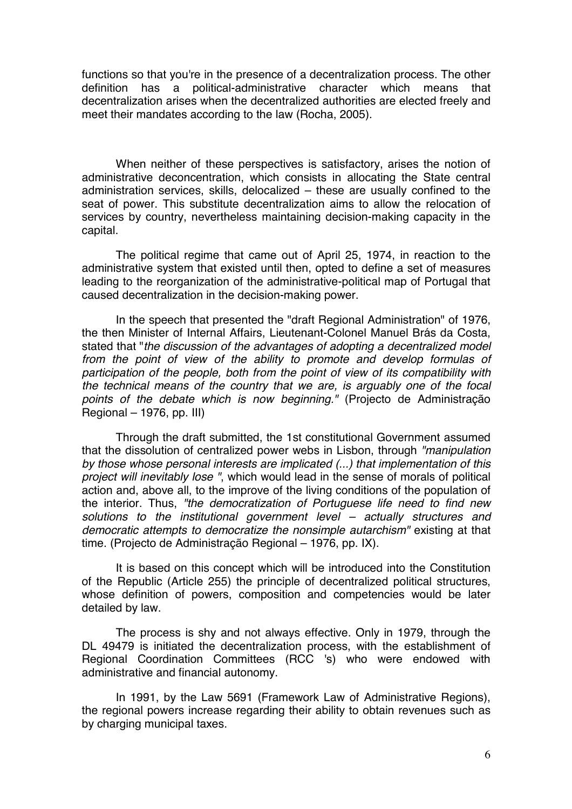functions so that you're in the presence of a decentralization process. The other definition has a political-administrative character which means that decentralization arises when the decentralized authorities are elected freely and meet their mandates according to the law (Rocha, 2005).

When neither of these perspectives is satisfactory, arises the notion of administrative deconcentration, which consists in allocating the State central administration services, skills, delocalized – these are usually confined to the seat of power. This substitute decentralization aims to allow the relocation of services by country, nevertheless maintaining decision-making capacity in the capital.

The political regime that came out of April 25, 1974, in reaction to the administrative system that existed until then, opted to define a set of measures leading to the reorganization of the administrative-political map of Portugal that caused decentralization in the decision-making power.

In the speech that presented the "draft Regional Administration" of 1976, the then Minister of Internal Affairs, Lieutenant-Colonel Manuel Brás da Costa, stated that "*the discussion of the advantages of adopting a decentralized model from the point of view of the ability to promote and develop formulas of participation of the people, both from the point of view of its compatibility with the technical means of the country that we are, is arguably one of the focal points of the debate which is now beginning."* (Projecto de Administração Regional – 1976, pp. III)

Through the draft submitted, the 1st constitutional Government assumed that the dissolution of centralized power webs in Lisbon, through *"manipulation by those whose personal interests are implicated (...) that implementation of this project will inevitably lose "*, which would lead in the sense of morals of political action and, above all, to the improve of the living conditions of the population of the interior. Thus, *"the democratization of Portuguese life need to find new solutions to the institutional government level – actually structures and democratic attempts to democratize the nonsimple autarchism"* existing at that time. (Projecto de Administração Regional – 1976, pp. IX).

It is based on this concept which will be introduced into the Constitution of the Republic (Article 255) the principle of decentralized political structures, whose definition of powers, composition and competencies would be later detailed by law.

The process is shy and not always effective. Only in 1979, through the DL 49479 is initiated the decentralization process, with the establishment of Regional Coordination Committees (RCC 's) who were endowed with administrative and financial autonomy.

In 1991, by the Law 5691 (Framework Law of Administrative Regions), the regional powers increase regarding their ability to obtain revenues such as by charging municipal taxes.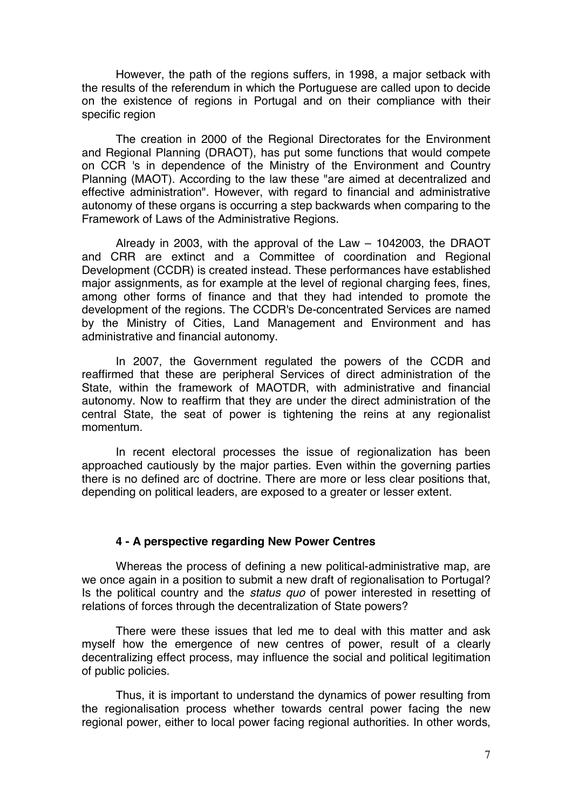However, the path of the regions suffers, in 1998, a major setback with the results of the referendum in which the Portuguese are called upon to decide on the existence of regions in Portugal and on their compliance with their specific region

The creation in 2000 of the Regional Directorates for the Environment and Regional Planning (DRAOT), has put some functions that would compete on CCR 's in dependence of the Ministry of the Environment and Country Planning (MAOT). According to the law these "are aimed at decentralized and effective administration". However, with regard to financial and administrative autonomy of these organs is occurring a step backwards when comparing to the Framework of Laws of the Administrative Regions.

Already in 2003, with the approval of the Law – 1042003, the DRAOT and CRR are extinct and a Committee of coordination and Regional Development (CCDR) is created instead. These performances have established major assignments, as for example at the level of regional charging fees, fines, among other forms of finance and that they had intended to promote the development of the regions. The CCDR's De-concentrated Services are named by the Ministry of Cities, Land Management and Environment and has administrative and financial autonomy.

In 2007, the Government regulated the powers of the CCDR and reaffirmed that these are peripheral Services of direct administration of the State, within the framework of MAOTDR, with administrative and financial autonomy. Now to reaffirm that they are under the direct administration of the central State, the seat of power is tightening the reins at any regionalist momentum.

In recent electoral processes the issue of regionalization has been approached cautiously by the major parties. Even within the governing parties there is no defined arc of doctrine. There are more or less clear positions that, depending on political leaders, are exposed to a greater or lesser extent.

#### **4 - A perspective regarding New Power Centres**

Whereas the process of defining a new political-administrative map, are we once again in a position to submit a new draft of regionalisation to Portugal? Is the political country and the *status quo* of power interested in resetting of relations of forces through the decentralization of State powers?

There were these issues that led me to deal with this matter and ask myself how the emergence of new centres of power, result of a clearly decentralizing effect process, may influence the social and political legitimation of public policies.

Thus, it is important to understand the dynamics of power resulting from the regionalisation process whether towards central power facing the new regional power, either to local power facing regional authorities. In other words,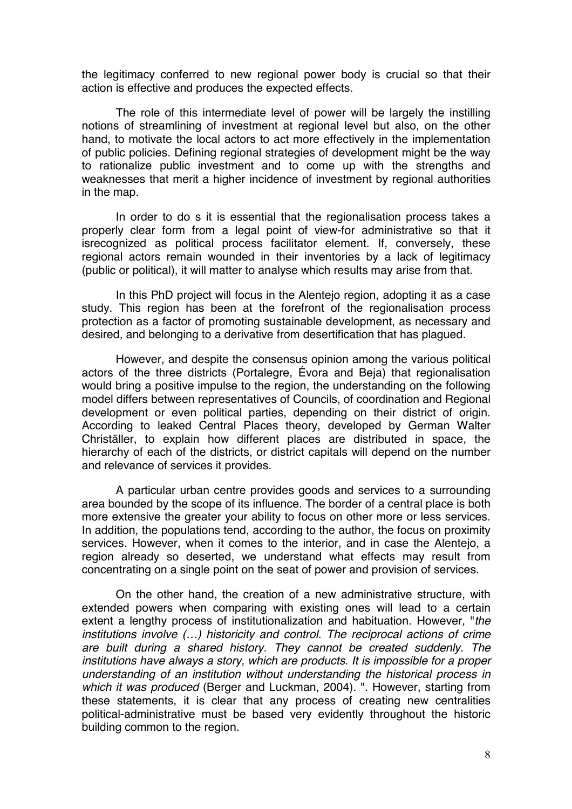the legitimacy conferred to new regional power body is crucial so that their action is effective and produces the expected effects.

The role of this intermediate level of power will be largely the instilling notions of streamlining of investment at regional level but also, on the other hand, to motivate the local actors to act more effectively in the implementation of public policies. Defining regional strategies of development might be the way to rationalize public investment and to come up with the strengths and weaknesses that merit a higher incidence of investment by regional authorities in the map.

In order to do s it is essential that the regionalisation process takes a properly clear form from a legal point of view-for administrative so that it isrecognized as political process facilitator element. If, conversely, these regional actors remain wounded in their inventories by a lack of legitimacy (public or political), it will matter to analyse which results may arise from that.

In this PhD project will focus in the Alentejo region, adopting it as a case study. This region has been at the forefront of the regionalisation process protection as a factor of promoting sustainable development, as necessary and desired, and belonging to a derivative from desertification that has plagued.

However, and despite the consensus opinion among the various political actors of the three districts (Portalegre, Évora and Beja) that regionalisation would bring a positive impulse to the region, the understanding on the following model differs between representatives of Councils, of coordination and Regional development or even political parties, depending on their district of origin. According to leaked Central Places theory, developed by German Walter Christäller, to explain how different places are distributed in space, the hierarchy of each of the districts, or district capitals will depend on the number and relevance of services it provides.

A particular urban centre provides goods and services to a surrounding area bounded by the scope of its influence. The border of a central place is both more extensive the greater your ability to focus on other more or less services. In addition, the populations tend, according to the author, the focus on proximity services. However, when it comes to the interior, and in case the Alentejo, a region already so deserted, we understand what effects may result from concentrating on a single point on the seat of power and provision of services.

On the other hand, the creation of a new administrative structure, with extended powers when comparing with existing ones will lead to a certain extent a lengthy process of institutionalization and habituation. However, "*the institutions involve (…) historicity and control. The reciprocal actions of crime are built during a shared history. They cannot be created suddenly. The institutions have always a story, which are products. It is impossible for a proper understanding of an institution without understanding the historical process in which it was produced* (Berger and Luckman, 2004). ". However, starting from these statements, it is clear that any process of creating new centralities political-administrative must be based very evidently throughout the historic building common to the region.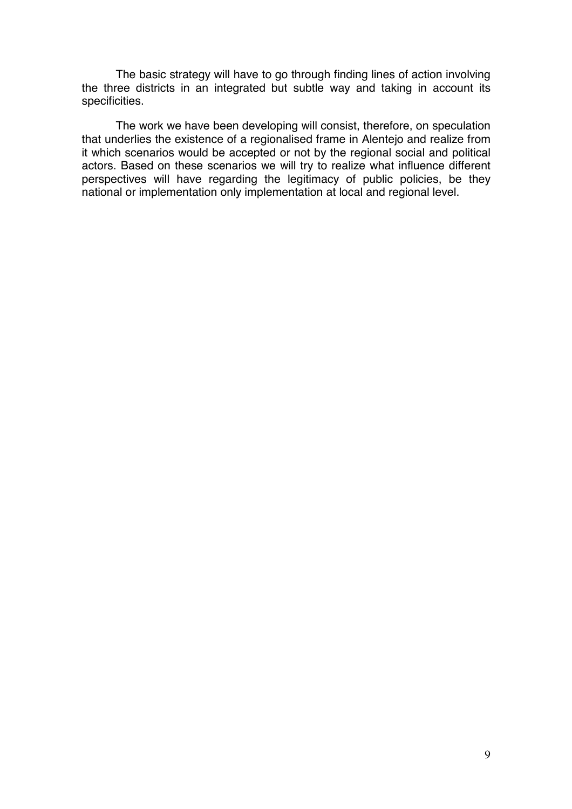The basic strategy will have to go through finding lines of action involving the three districts in an integrated but subtle way and taking in account its specificities.

The work we have been developing will consist, therefore, on speculation that underlies the existence of a regionalised frame in Alentejo and realize from it which scenarios would be accepted or not by the regional social and political actors. Based on these scenarios we will try to realize what influence different perspectives will have regarding the legitimacy of public policies, be they national or implementation only implementation at local and regional level.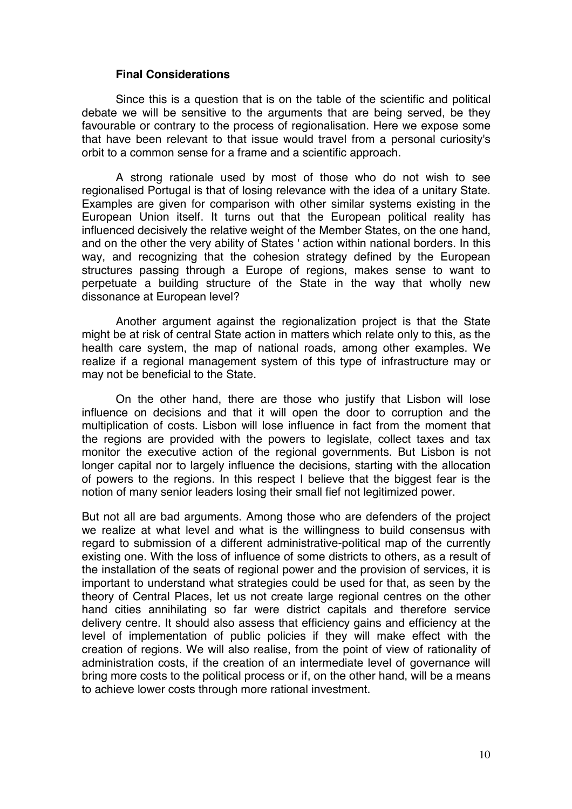#### **Final Considerations**

Since this is a question that is on the table of the scientific and political debate we will be sensitive to the arguments that are being served, be they favourable or contrary to the process of regionalisation. Here we expose some that have been relevant to that issue would travel from a personal curiosity's orbit to a common sense for a frame and a scientific approach.

A strong rationale used by most of those who do not wish to see regionalised Portugal is that of losing relevance with the idea of a unitary State. Examples are given for comparison with other similar systems existing in the European Union itself. It turns out that the European political reality has influenced decisively the relative weight of the Member States, on the one hand, and on the other the very ability of States ' action within national borders. In this way, and recognizing that the cohesion strategy defined by the European structures passing through a Europe of regions, makes sense to want to perpetuate a building structure of the State in the way that wholly new dissonance at European level?

Another argument against the regionalization project is that the State might be at risk of central State action in matters which relate only to this, as the health care system, the map of national roads, among other examples. We realize if a regional management system of this type of infrastructure may or may not be beneficial to the State.

On the other hand, there are those who justify that Lisbon will lose influence on decisions and that it will open the door to corruption and the multiplication of costs. Lisbon will lose influence in fact from the moment that the regions are provided with the powers to legislate, collect taxes and tax monitor the executive action of the regional governments. But Lisbon is not longer capital nor to largely influence the decisions, starting with the allocation of powers to the regions. In this respect I believe that the biggest fear is the notion of many senior leaders losing their small fief not legitimized power.

But not all are bad arguments. Among those who are defenders of the project we realize at what level and what is the willingness to build consensus with regard to submission of a different administrative-political map of the currently existing one. With the loss of influence of some districts to others, as a result of the installation of the seats of regional power and the provision of services, it is important to understand what strategies could be used for that, as seen by the theory of Central Places, let us not create large regional centres on the other hand cities annihilating so far were district capitals and therefore service delivery centre. It should also assess that efficiency gains and efficiency at the level of implementation of public policies if they will make effect with the creation of regions. We will also realise, from the point of view of rationality of administration costs, if the creation of an intermediate level of governance will bring more costs to the political process or if, on the other hand, will be a means to achieve lower costs through more rational investment.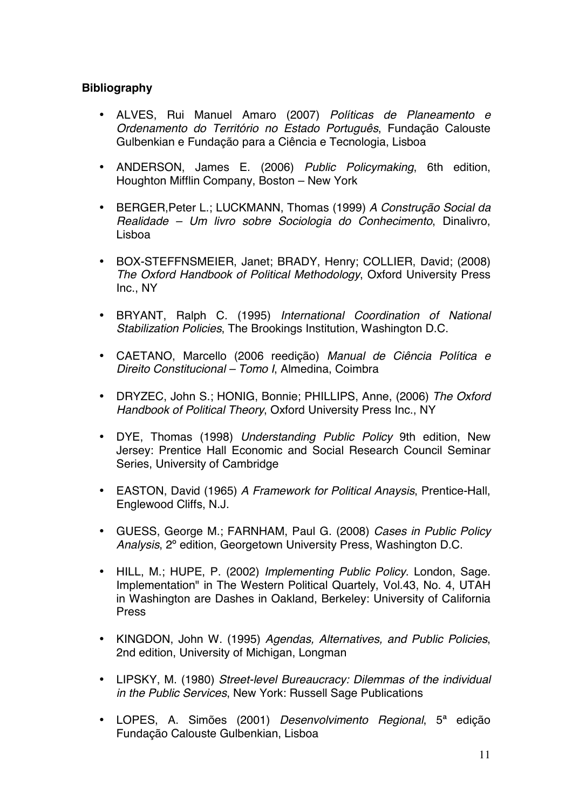# **Bibliography**

- ALVES, Rui Manuel Amaro (2007) *Políticas de Planeamento e Ordenamento do Território no Estado Português*, Fundação Calouste Gulbenkian e Fundação para a Ciência e Tecnologia, Lisboa
- ANDERSON, James E. (2006) *Public Policymaking*, 6th edition, Houghton Mifflin Company, Boston – New York
- BERGER,Peter L.; LUCKMANN, Thomas (1999) *A Construção Social da Realidade – Um livro sobre Sociologia do Conhecimento*, Dinalivro, Lisboa
- BOX-STEFFNSMEIER, Janet; BRADY, Henry; COLLIER, David; (2008) *The Oxford Handbook of Political Methodology*, Oxford University Press Inc., NY
- BRYANT, Ralph C. (1995) *International Coordination of National Stabilization Policies*, The Brookings Institution, Washington D.C.
- CAETANO, Marcello (2006 reedição) *Manual de Ciência Política e Direito Constitucional – Tomo I*, Almedina, Coimbra
- DRYZEC, John S.; HONIG, Bonnie; PHILLIPS, Anne, (2006) *The Oxford Handbook of Political Theory*, Oxford University Press Inc., NY
- DYE, Thomas (1998) *Understanding Public Policy* 9th edition, New Jersey: Prentice Hall Economic and Social Research Council Seminar Series, University of Cambridge
- EASTON, David (1965) *A Framework for Political Anaysis*, Prentice-Hall, Englewood Cliffs, N.J.
- GUESS, George M.; FARNHAM, Paul G. (2008) *Cases in Public Policy Analysis*, 2º edition, Georgetown University Press, Washington D.C.
- HILL, M.; HUPE, P. (2002) *Implementing Public Policy*. London, Sage. Implementation" in The Western Political Quartely, Vol.43, No. 4, UTAH in Washington are Dashes in Oakland, Berkeley: University of California Press
- KINGDON, John W. (1995) *Agendas, Alternatives, and Public Policies*, 2nd edition, University of Michigan, Longman
- LIPSKY, M. (1980) *Street-level Bureaucracy: Dilemmas of the individual in the Public Services*, New York: Russell Sage Publications
- LOPES, A. Simões (2001) *Desenvolvimento Regional*, 5ª edição Fundação Calouste Gulbenkian, Lisboa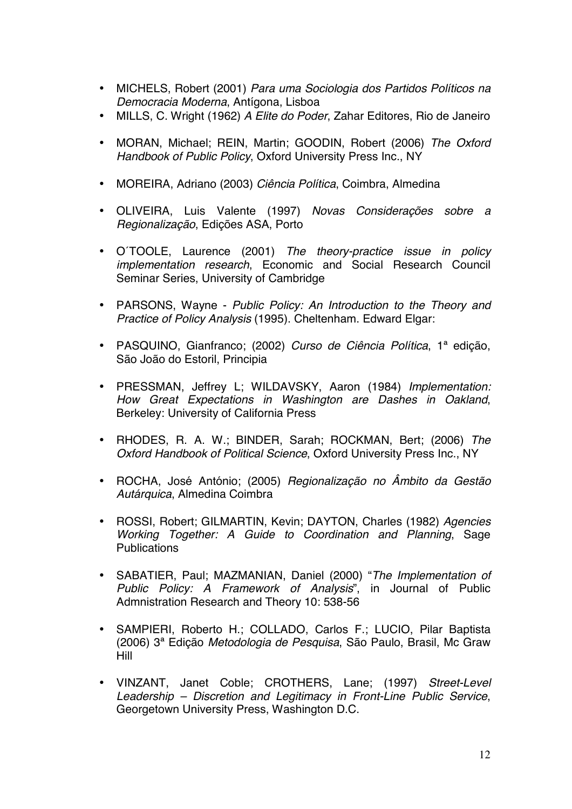- MICHELS, Robert (2001) *Para uma Sociologia dos Partidos Políticos na Democracia Moderna*, Antígona, Lisboa
- MILLS, C. Wright (1962) *A Elite do Poder*, Zahar Editores, Rio de Janeiro
- MORAN, Michael; REIN, Martin; GOODIN, Robert (2006) *The Oxford Handbook of Public Policy*, Oxford University Press Inc., NY
- MOREIRA, Adriano (2003) *Ciência Política*, Coimbra, Almedina
- OLIVEIRA, Luis Valente (1997) *Novas Considerações sobre a Regionalização*, Edições ASA, Porto
- O´TOOLE, Laurence (2001) *The theory-practice issue in policy implementation research*, Economic and Social Research Council Seminar Series, University of Cambridge
- PARSONS, Wayne *Public Policy: An Introduction to the Theory and Practice of Policy Analysis* (1995). Cheltenham. Edward Elgar:
- PASQUINO, Gianfranco; (2002) *Curso de Ciência Política*, 1ª edição, São João do Estoril, Principia
- PRESSMAN, Jeffrey L; WILDAVSKY, Aaron (1984) *Implementation: How Great Expectations in Washington are Dashes in Oakland*, Berkeley: University of California Press
- RHODES, R. A. W.; BINDER, Sarah; ROCKMAN, Bert; (2006) *The Oxford Handbook of Political Science*, Oxford University Press Inc., NY
- ROCHA, José António; (2005) *Regionalização no Âmbito da Gestão Autárquica*, Almedina Coimbra
- ROSSI, Robert; GILMARTIN, Kevin; DAYTON, Charles (1982) *Agencies Working Together: A Guide to Coordination and Planning*, Sage **Publications**
- SABATIER, Paul; MAZMANIAN, Daniel (2000) "*The Implementation of Public Policy: A Framework of Analysis*", in Journal of Public Admnistration Research and Theory 10: 538-56
- SAMPIERI, Roberto H.; COLLADO, Carlos F.; LUCIO, Pilar Baptista (2006) 3ª Edição *Metodologia de Pesquisa*, São Paulo, Brasil, Mc Graw Hill
- VINZANT, Janet Coble; CROTHERS, Lane; (1997) *Street-Level Leadership – Discretion and Legitimacy in Front-Line Public Service*, Georgetown University Press, Washington D.C.